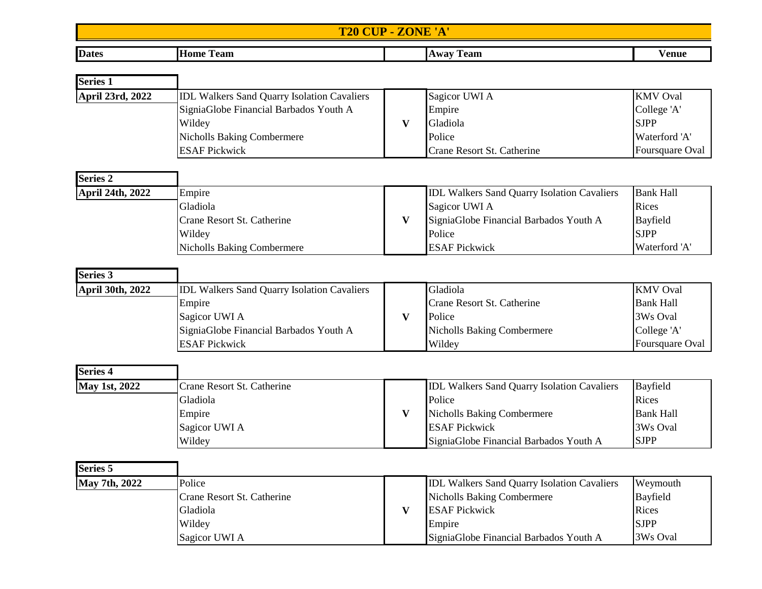## **T20 CUP - ZONE 'A'**

| <b>Dates</b> | Home<br>l eam<br>. | eam<br>wav | ⁄ enue |
|--------------|--------------------|------------|--------|

| <b>Series 1</b>  |                                                    |                            |                 |
|------------------|----------------------------------------------------|----------------------------|-----------------|
| April 23rd, 2022 | <b>IDL Walkers Sand Quarry Isolation Cavaliers</b> | Sagicor UWI A              | <b>KMV</b> Oval |
|                  | SigniaGlobe Financial Barbados Youth A             | Empire                     | College 'A'     |
|                  | Wildey                                             | Gladiola                   | <b>SJPP</b>     |
|                  | Nicholls Baking Combermere                         | Police                     | Waterford 'A'   |
|                  | <b>ESAF Pickwick</b>                               | Crane Resort St. Catherine | Foursquare Oval |

| <b>Series 2</b>  |                            |                                                    |                  |
|------------------|----------------------------|----------------------------------------------------|------------------|
| April 24th, 2022 | Empire                     | <b>IDL Walkers Sand Quarry Isolation Cavaliers</b> | <b>Bank Hall</b> |
|                  | Gladiola                   | Sagicor UWI A                                      | Rices            |
|                  | Crane Resort St. Catherine | SigniaGlobe Financial Barbados Youth A             | Bayfield         |
|                  | Wildey                     | Police                                             | <b>SJPP</b>      |
|                  | Nicholls Baking Combermere | <b>ESAF Pickwick</b>                               | Waterford 'A'    |

| <b>Series 3</b>         |                                                    |                                   |                        |
|-------------------------|----------------------------------------------------|-----------------------------------|------------------------|
| <b>April 30th, 2022</b> | <b>IDL Walkers Sand Quarry Isolation Cavaliers</b> | Gladiola                          | <b>KMV</b> Oval        |
|                         | Empire                                             | Crane Resort St. Catherine        | <b>Bank Hall</b>       |
|                         | Sagicor UWI A                                      | Police                            | 3Ws Oval               |
|                         | SigniaGlobe Financial Barbados Youth A             | <b>Nicholls Baking Combermere</b> | College 'A'            |
|                         | <b>ESAF Pickwick</b>                               | Wildey                            | <b>Foursquare Oval</b> |

| <b>Series 4</b>      |                            |                                                    |                  |
|----------------------|----------------------------|----------------------------------------------------|------------------|
| <b>May 1st, 2022</b> | Crane Resort St. Catherine | <b>IDL Walkers Sand Quarry Isolation Cavaliers</b> | Bayfield         |
|                      | Gladiola                   | Police                                             | Rices            |
|                      | Empire                     | <b>Nicholls Baking Combermere</b>                  | <b>Bank Hall</b> |
|                      | Sagicor UWI A              | <b>ESAF Pickwick</b>                               | 3Ws Oval         |
|                      | Wildey                     | SigniaGlobe Financial Barbados Youth A             | <b>SJPP</b>      |

| <b>Series 5</b>      |                            |                                                    |                 |
|----------------------|----------------------------|----------------------------------------------------|-----------------|
| <b>May 7th, 2022</b> | Police                     | <b>IDL Walkers Sand Quarry Isolation Cavaliers</b> | Weymouth        |
|                      | Crane Resort St. Catherine | <b>Nicholls Baking Combermere</b>                  | <b>Bayfield</b> |
|                      | Gladiola                   | <b>ESAF Pickwick</b>                               | Rices           |
|                      | Wildey                     | Empire                                             | <b>SJPP</b>     |
|                      | Sagicor UWI A              | SigniaGlobe Financial Barbados Youth A             | 3Ws Oval        |